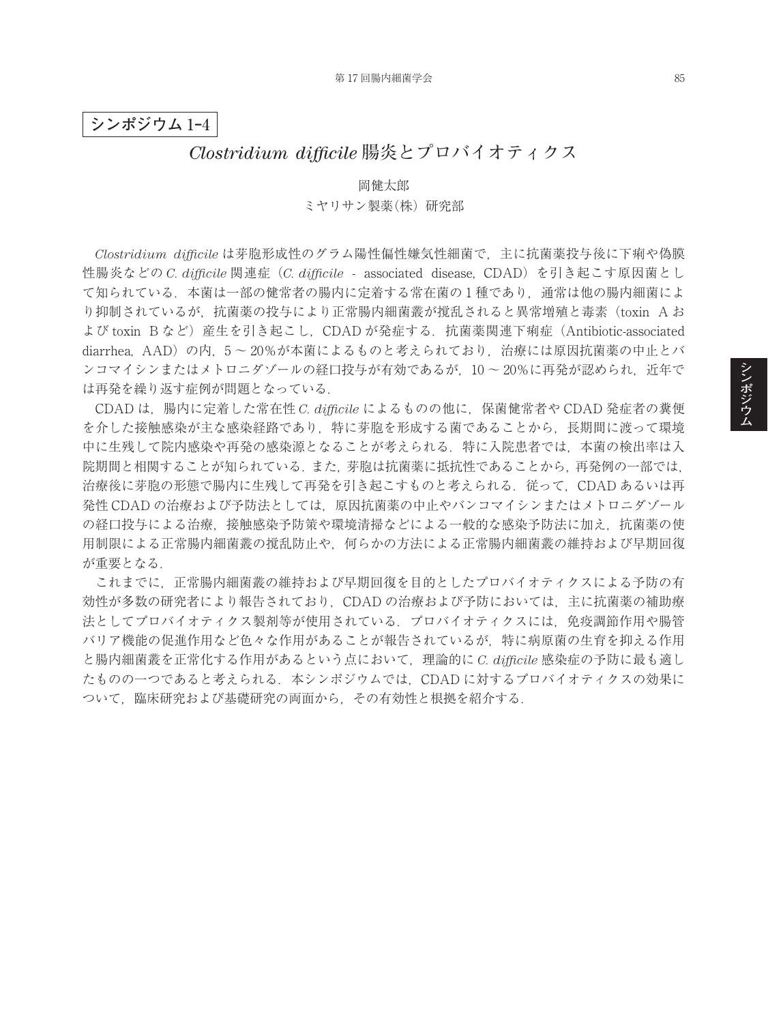## **シンポジウム** 1**‒**4

# *Clostridium difficile* **腸炎とプロバイオティクス**

#### 岡健太郎

### ミヤリサン製薬(株)研究部

*Clostridium difficile* は芽胞形成性のグラム陽性偏性嫌気性細菌で,主に抗菌薬投与後に下痢や偽膜 性腸炎などの *C. difficile* 関連症(*C. difficile* - associated disease, CDAD)を引き起こす原因菌とし て知られている.本菌は一部の健常者の腸内に定着する常在菌の 1 種であり,通常は他の腸内細菌によ り抑制されているが,抗菌薬の投与により正常腸内細菌叢が撹乱されると異常増殖と毒素(toxin A お よび toxin Bなど)産生を引き起こし, CDAD が発症する. 抗菌薬関連下痢症 (Antibiotic-associated diarrhea, AAD)の内,5 ~ 20%が本菌によるものと考えられており,治療には原因抗菌薬の中止とバ ンコマイシンまたはメトロニダゾールの経口投与が有効であるが、10~20%に再発が認められ、近年で は再発を繰り返す症例が問題となっている.

CDAD は,腸内に定着した常在性 *C. difficile* によるものの他に,保菌健常者や CDAD 発症者の糞便 を介した接触感染が主な感染経路であり,特に芽胞を形成する菌であることから,長期間に渡って環境 中に生残して院内感染や再発の感染源となることが考えられる.特に入院患者では,本菌の検出率は入 院期間と相関することが知られている.また,芽胞は抗菌薬に抵抗性であることから,再発例の一部では, 治療後に芽胞の形態で腸内に生残して再発を引き起こすものと考えられる. 従って、CDAD あるいは再 発性 CDAD の治療および予防法としては、原因抗菌薬の中止やバンコマイシンまたはメトロニダゾール の経口投与による治療、接触感染予防策や環境清掃などによる一般的な感染予防法に加え、抗菌薬の使 用制限による正常腸内細菌叢の撹乱防止や,何らかの方法による正常腸内細菌叢の維持および早期回復 が重要となる.

これまでに,正常腸内細菌叢の維持および早期回復を目的としたプロバイオティクスによる予防の有 効性が多数の研究者により報告されており,CDAD の治療および予防においては,主に抗菌薬の補助療 法としてプロバイオティクス製剤等が使用されている.プロバイオティクスには,免疫調節作用や腸管 バリア機能の促進作用など色々な作用があることが報告されているが,特に病原菌の生育を抑える作用 と腸内細菌叢を正常化する作用があるという点において,理論的に *C. difficile* 感染症の予防に最も適し たものの一つであると考えられる.本シンポジウムでは,CDAD に対するプロバイオティクスの効果に ついて,臨床研究および基礎研究の両面から,その有効性と根拠を紹介する.